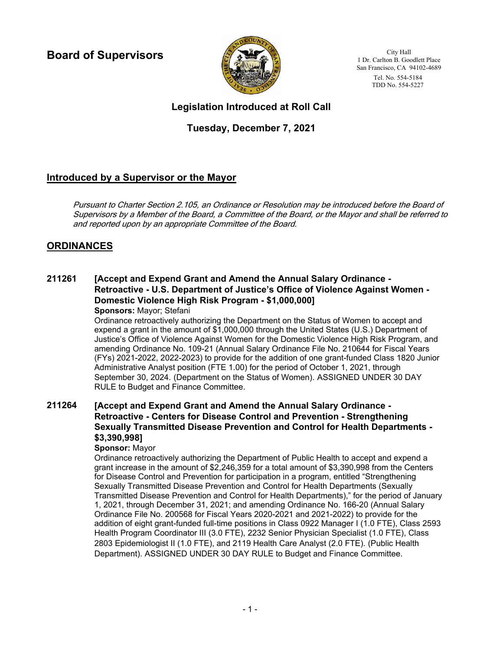**Board of Supervisors**



City Hall 1 Dr. Carlton B. Goodlett Place San Francisco, CA 94102-4689 Tel. No. 554-5184 TDD No. 554-5227

# **Legislation Introduced at Roll Call**

# **Tuesday, December 7, 2021**

# **Introduced by a Supervisor or the Mayor**

Pursuant to Charter Section 2.105, an Ordinance or Resolution may be introduced before the Board of Supervisors by a Member of the Board, a Committee of the Board, or the Mayor and shall be referred to and reported upon by an appropriate Committee of the Board.

# **ORDINANCES**

### **[Accept and Expend Grant and Amend the Annual Salary Ordinance - Retroactive - U.S. Department of Justice's Office of Violence Against Women - Domestic Violence High Risk Program - \$1,000,000] 211261 Sponsors:** Mayor; Stefani

Ordinance retroactively authorizing the Department on the Status of Women to accept and expend a grant in the amount of \$1,000,000 through the United States (U.S.) Department of Justice's Office of Violence Against Women for the Domestic Violence High Risk Program, and amending Ordinance No. 109-21 (Annual Salary Ordinance File No. 210644 for Fiscal Years (FYs) 2021-2022, 2022-2023) to provide for the addition of one grant-funded Class 1820 Junior Administrative Analyst position (FTE 1.00) for the period of October 1, 2021, through September 30, 2024. (Department on the Status of Women). ASSIGNED UNDER 30 DAY RULE to Budget and Finance Committee.

### **[Accept and Expend Grant and Amend the Annual Salary Ordinance - Retroactive - Centers for Disease Control and Prevention - Strengthening Sexually Transmitted Disease Prevention and Control for Health Departments - \$3,390,998] 211264**

## **Sponsor:** Mayor

Ordinance retroactively authorizing the Department of Public Health to accept and expend a grant increase in the amount of \$2,246,359 for a total amount of \$3,390,998 from the Centers for Disease Control and Prevention for participation in a program, entitled "Strengthening Sexually Transmitted Disease Prevention and Control for Health Departments (Sexually Transmitted Disease Prevention and Control for Health Departments)," for the period of January 1, 2021, through December 31, 2021; and amending Ordinance No. 166-20 (Annual Salary Ordinance File No. 200568 for Fiscal Years 2020-2021 and 2021-2022) to provide for the addition of eight grant-funded full-time positions in Class 0922 Manager I (1.0 FTE), Class 2593 Health Program Coordinator III (3.0 FTE), 2232 Senior Physician Specialist (1.0 FTE), Class 2803 Epidemiologist II (1.0 FTE), and 2119 Health Care Analyst (2.0 FTE). (Public Health Department). ASSIGNED UNDER 30 DAY RULE to Budget and Finance Committee.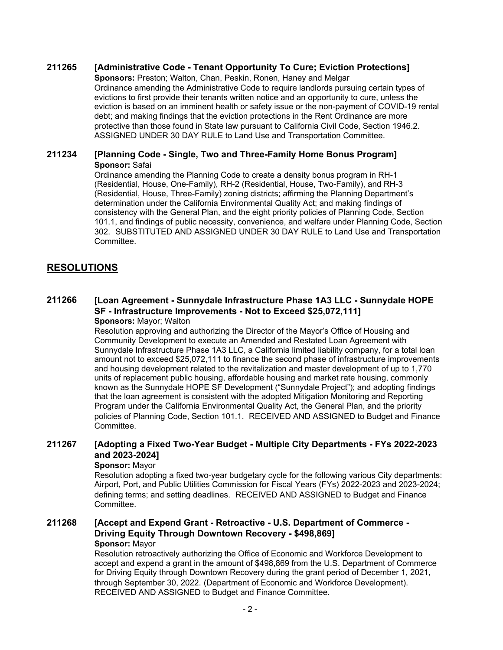## **211265 [Administrative Code - Tenant Opportunity To Cure; Eviction Protections]**

**Sponsors:** Preston; Walton, Chan, Peskin, Ronen, Haney and Melgar Ordinance amending the Administrative Code to require landlords pursuing certain types of evictions to first provide their tenants written notice and an opportunity to cure, unless the eviction is based on an imminent health or safety issue or the non-payment of COVID-19 rental debt; and making findings that the eviction protections in the Rent Ordinance are more protective than those found in State law pursuant to California Civil Code, Section 1946.2. ASSIGNED UNDER 30 DAY RULE to Land Use and Transportation Committee.

### **211234 [Planning Code - Single, Two and Three-Family Home Bonus Program] Sponsor:** Safai

Ordinance amending the Planning Code to create a density bonus program in RH-1 (Residential, House, One-Family), RH-2 (Residential, House, Two-Family), and RH-3 (Residential, House, Three-Family) zoning districts; affirming the Planning Department's determination under the California Environmental Quality Act; and making findings of consistency with the General Plan, and the eight priority policies of Planning Code, Section 101.1, and findings of public necessity, convenience, and welfare under Planning Code, Section 302. SUBSTITUTED AND ASSIGNED UNDER 30 DAY RULE to Land Use and Transportation Committee.

## **RESOLUTIONS**

### **[Loan Agreement - Sunnydale Infrastructure Phase 1A3 LLC - Sunnydale HOPE SF - Infrastructure Improvements - Not to Exceed \$25,072,111] 211266**

**Sponsors:** Mayor; Walton

Resolution approving and authorizing the Director of the Mayor's Office of Housing and Community Development to execute an Amended and Restated Loan Agreement with Sunnydale Infrastructure Phase 1A3 LLC, a California limited liability company, for a total loan amount not to exceed \$25,072,111 to finance the second phase of infrastructure improvements and housing development related to the revitalization and master development of up to 1,770 units of replacement public housing, affordable housing and market rate housing, commonly known as the Sunnydale HOPE SF Development ("Sunnydale Project"); and adopting findings that the loan agreement is consistent with the adopted Mitigation Monitoring and Reporting Program under the California Environmental Quality Act, the General Plan, and the priority policies of Planning Code, Section 101.1. RECEIVED AND ASSIGNED to Budget and Finance Committee.

#### **[Adopting a Fixed Two-Year Budget - Multiple City Departments - FYs 2022-2023 and 2023-2024] 211267**

### **Sponsor:** Mayor

Resolution adopting a fixed two-year budgetary cycle for the following various City departments: Airport, Port, and Public Utilities Commission for Fiscal Years (FYs) 2022-2023 and 2023-2024; defining terms; and setting deadlines. RECEIVED AND ASSIGNED to Budget and Finance Committee.

#### **[Accept and Expend Grant - Retroactive - U.S. Department of Commerce - Driving Equity Through Downtown Recovery - \$498,869] 211268 Sponsor:** Mayor

Resolution retroactively authorizing the Office of Economic and Workforce Development to accept and expend a grant in the amount of \$498,869 from the U.S. Department of Commerce for Driving Equity through Downtown Recovery during the grant period of December 1, 2021, through September 30, 2022. (Department of Economic and Workforce Development). RECEIVED AND ASSIGNED to Budget and Finance Committee.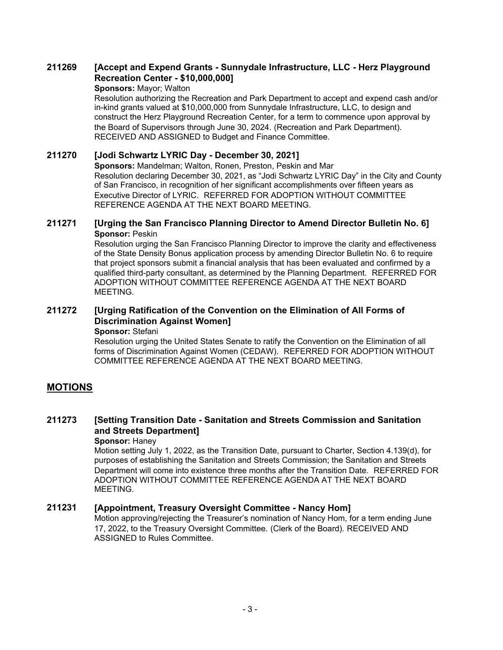#### **[Accept and Expend Grants - Sunnydale Infrastructure, LLC - Herz Playground Recreation Center - \$10,000,000] 211269**

### **Sponsors:** Mayor; Walton

Resolution authorizing the Recreation and Park Department to accept and expend cash and/or in-kind grants valued at \$10,000,000 from Sunnydale Infrastructure, LLC, to design and construct the Herz Playground Recreation Center, for a term to commence upon approval by the Board of Supervisors through June 30, 2024. (Recreation and Park Department). RECEIVED AND ASSIGNED to Budget and Finance Committee.

## **211270 [Jodi Schwartz LYRIC Day - December 30, 2021]**

**Sponsors:** Mandelman; Walton, Ronen, Preston, Peskin and Mar Resolution declaring December 30, 2021, as "Jodi Schwartz LYRIC Day" in the City and County of San Francisco, in recognition of her significant accomplishments over fifteen years as Executive Director of LYRIC. REFERRED FOR ADOPTION WITHOUT COMMITTEE REFERENCE AGENDA AT THE NEXT BOARD MEETING.

## **211271 [Urging the San Francisco Planning Director to Amend Director Bulletin No. 6] Sponsor:** Peskin

Resolution urging the San Francisco Planning Director to improve the clarity and effectiveness of the State Density Bonus application process by amending Director Bulletin No. 6 to require that project sponsors submit a financial analysis that has been evaluated and confirmed by a qualified third-party consultant, as determined by the Planning Department. REFERRED FOR ADOPTION WITHOUT COMMITTEE REFERENCE AGENDA AT THE NEXT BOARD MEETING.

#### **[Urging Ratification of the Convention on the Elimination of All Forms of Discrimination Against Women] 211272 Sponsor:** Stefani

Resolution urging the United States Senate to ratify the Convention on the Elimination of all forms of Discrimination Against Women (CEDAW). REFERRED FOR ADOPTION WITHOUT COMMITTEE REFERENCE AGENDA AT THE NEXT BOARD MEETING.

## **MOTIONS**

### **[Setting Transition Date - Sanitation and Streets Commission and Sanitation and Streets Department] 211273**

## **Sponsor:** Haney

Motion setting July 1, 2022, as the Transition Date, pursuant to Charter, Section 4.139(d), for purposes of establishing the Sanitation and Streets Commission; the Sanitation and Streets Department will come into existence three months after the Transition Date. REFERRED FOR ADOPTION WITHOUT COMMITTEE REFERENCE AGENDA AT THE NEXT BOARD MEETING.

## **211231 [Appointment, Treasury Oversight Committee - Nancy Hom]**

Motion approving/rejecting the Treasurer's nomination of Nancy Hom, for a term ending June 17, 2022, to the Treasury Oversight Committee. (Clerk of the Board). RECEIVED AND ASSIGNED to Rules Committee.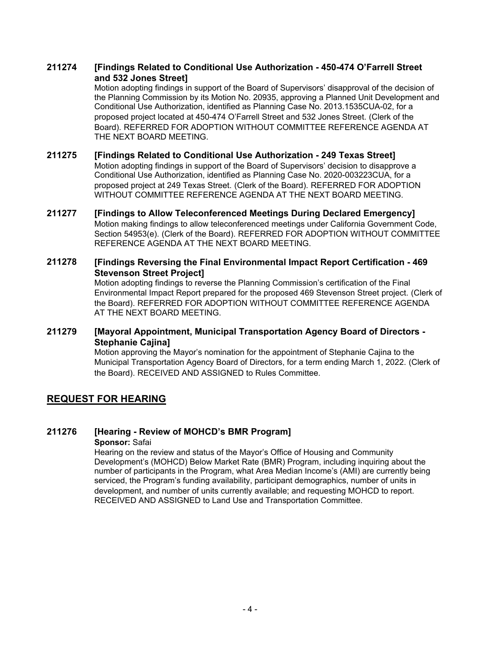#### **[Findings Related to Conditional Use Authorization - 450-474 O'Farrell Street and 532 Jones Street] 211274**

Motion adopting findings in support of the Board of Supervisors' disapproval of the decision of the Planning Commission by its Motion No. 20935, approving a Planned Unit Development and Conditional Use Authorization, identified as Planning Case No. 2013.1535CUA-02, for a proposed project located at 450-474 O'Farrell Street and 532 Jones Street. (Clerk of the Board). REFERRED FOR ADOPTION WITHOUT COMMITTEE REFERENCE AGENDA AT THE NEXT BOARD MEETING.

### **211275 [Findings Related to Conditional Use Authorization - 249 Texas Street]** Motion adopting findings in support of the Board of Supervisors' decision to disapprove a Conditional Use Authorization, identified as Planning Case No. 2020-003223CUA, for a proposed project at 249 Texas Street. (Clerk of the Board). REFERRED FOR ADOPTION WITHOUT COMMITTEE REFERENCE AGENDA AT THE NEXT BOARD MEETING.

**211277 [Findings to Allow Teleconferenced Meetings During Declared Emergency]** Motion making findings to allow teleconferenced meetings under California Government Code, Section 54953(e). (Clerk of the Board). REFERRED FOR ADOPTION WITHOUT COMMITTEE REFERENCE AGENDA AT THE NEXT BOARD MEETING.

#### **[Findings Reversing the Final Environmental Impact Report Certification - 469 Stevenson Street Project] 211278**

Motion adopting findings to reverse the Planning Commission's certification of the Final Environmental Impact Report prepared for the proposed 469 Stevenson Street project. (Clerk of the Board). REFERRED FOR ADOPTION WITHOUT COMMITTEE REFERENCE AGENDA AT THE NEXT BOARD MEETING.

#### **[Mayoral Appointment, Municipal Transportation Agency Board of Directors - Stephanie Cajina] 211279**

Motion approving the Mayor's nomination for the appointment of Stephanie Cajina to the Municipal Transportation Agency Board of Directors, for a term ending March 1, 2022. (Clerk of the Board). RECEIVED AND ASSIGNED to Rules Committee.

# **REQUEST FOR HEARING**

# **211276 [Hearing - Review of MOHCD's BMR Program]**

**Sponsor:** Safai

Hearing on the review and status of the Mayor's Office of Housing and Community Development's (MOHCD) Below Market Rate (BMR) Program, including inquiring about the number of participants in the Program, what Area Median Income's (AMI) are currently being serviced, the Program's funding availability, participant demographics, number of units in development, and number of units currently available; and requesting MOHCD to report. RECEIVED AND ASSIGNED to Land Use and Transportation Committee.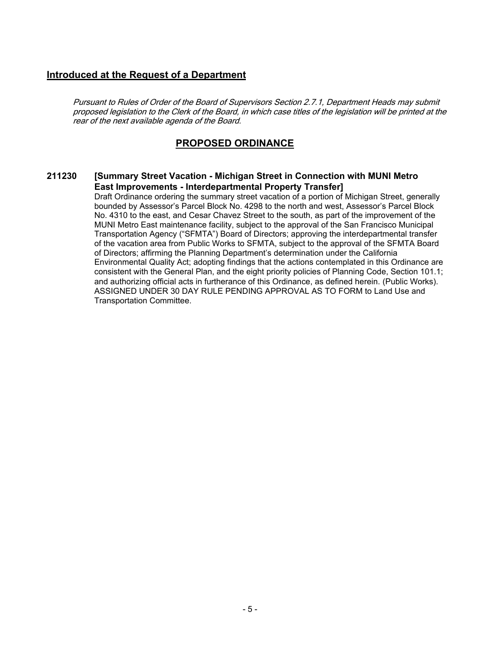## **Introduced at the Request of a Department**

Pursuant to Rules of Order of the Board of Supervisors Section 2.7.1, Department Heads may submit proposed legislation to the Clerk of the Board, in which case titles of the legislation will be printed at the rear of the next available agenda of the Board.

## **PROPOSED ORDINANCE**

#### **[Summary Street Vacation - Michigan Street in Connection with MUNI Metro East Improvements - Interdepartmental Property Transfer] 211230**

Draft Ordinance ordering the summary street vacation of a portion of Michigan Street, generally bounded by Assessor's Parcel Block No. 4298 to the north and west, Assessor's Parcel Block No. 4310 to the east, and Cesar Chavez Street to the south, as part of the improvement of the MUNI Metro East maintenance facility, subject to the approval of the San Francisco Municipal Transportation Agency ("SFMTA") Board of Directors; approving the interdepartmental transfer of the vacation area from Public Works to SFMTA, subject to the approval of the SFMTA Board of Directors; affirming the Planning Department's determination under the California Environmental Quality Act; adopting findings that the actions contemplated in this Ordinance are consistent with the General Plan, and the eight priority policies of Planning Code, Section 101.1; and authorizing official acts in furtherance of this Ordinance, as defined herein. (Public Works). ASSIGNED UNDER 30 DAY RULE PENDING APPROVAL AS TO FORM to Land Use and Transportation Committee.